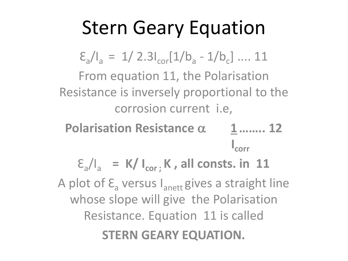### Stern Geary Equation

 $\sum_{a} I_{a} = 1/2.3I_{cor}[1/b_{a} - 1/b_{c}] \dots 11$ From equation 11, the Polarisation Resistance is inversely proportional to the corrosion current i.e,

**Polarisation Resistance**  $\alpha$  **1 …….. 12 I** I I I I I I I I I I I I I  $\int_{\text{corr}}$ 

 $\mathcal{E}_{a}/I_{a}$  = K/  $I_{cor}$ ; K, all consts. in 11 A plot of  $\mathsf{E}_{\mathsf{a}}$  versus  $\mathsf{I}_{\mathsf{anett}}$  gives a straight line whose slope will give the Polarisation Resistance. Equation 11 is called

**STERN GEARY EQUATION.**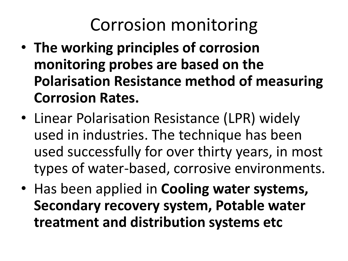#### Corrosion monitoring

- **The working principles of corrosion monitoring probes are based on the Polarisation Resistance method of measuring Corrosion Rates.**
- Linear Polarisation Resistance (LPR) widely used in industries. The technique has been used successfully for over thirty years, in most types of water-based, corrosive environments.
- Has been applied in **Cooling water systems, Secondary recovery system, Potable water treatment and distribution systems etc**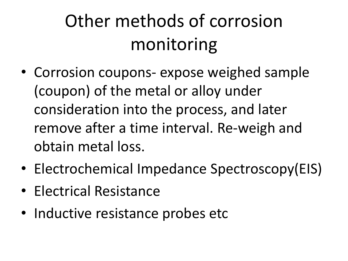## Other methods of corrosion monitoring

- Corrosion coupons- expose weighed sample (coupon) of the metal or alloy under consideration into the process, and later remove after a time interval. Re-weigh and obtain metal loss.
- Electrochemical Impedance Spectroscopy(EIS)
- Electrical Resistance
- Inductive resistance probes etc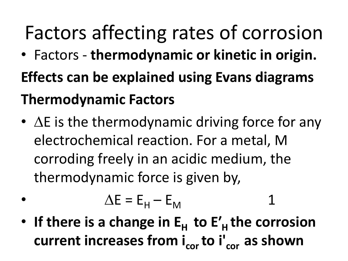# Factors affecting rates of corrosion

- Factors **thermodynamic or kinetic in origin. Effects can be explained using Evans diagrams Thermodynamic Factors**
- $\Delta E$  is the thermodynamic driving force for any electrochemical reaction. For a metal, M corroding freely in an acidic medium, the thermodynamic force is given by,

$$
\Delta E = E_{H} - E_{M}
$$
 1

• If there is a change in  $E_H$  to  $E'_H$  the corrosion **current increases from i<sub>cor</sub> to i'**<sub>cor</sub> as shown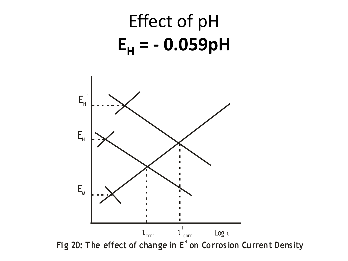## Effect of pH  $E_H$  = -0.059pH

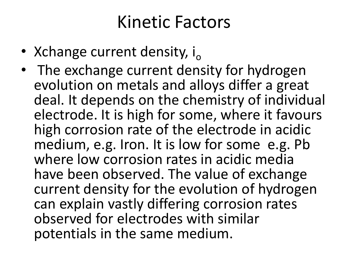#### Kinetic Factors

- Xchange current density,  $i_{\circ}$
- The exchange current density for hydrogen evolution on metals and alloys differ a great deal. It depends on the chemistry of individual electrode. It is high for some, where it favours high corrosion rate of the electrode in acidic medium, e.g. Iron. It is low for some e.g. Pb where low corrosion rates in acidic media have been observed. The value of exchange current density for the evolution of hydrogen can explain vastly differing corrosion rates observed for electrodes with similar potentials in the same medium.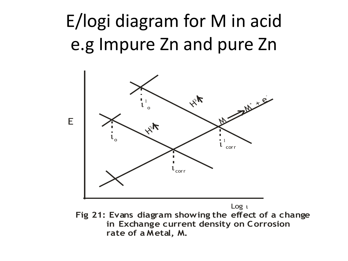### E/logi diagram for M in acid e.g Impure Zn and pure Zn